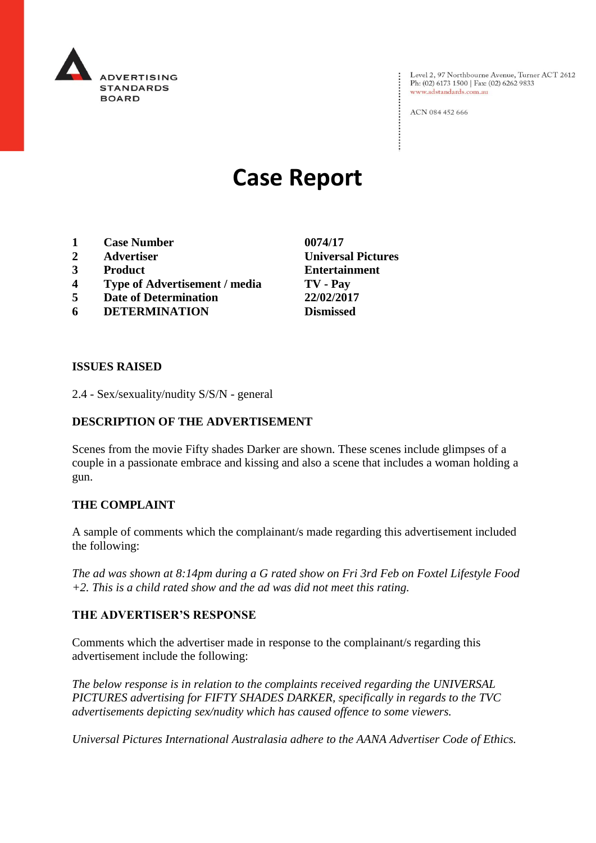

Level 2, 97 Northbourne Avenue, Turner ACT 2612<br>Ph: (02) 6173 1500 | Fax: (02) 6262 9833 www.adstandards.com.au

ACN 084 452 666

# **Case Report**

- **1 Case Number 0074/17**
- **2 Advertiser Universal Pictures**
- **3 Product Entertainment**
- **4 Type of Advertisement / media TV - Pay**
- **5 Date of Determination 22/02/2017**
- **6 DETERMINATION**

**ISSUES RAISED**

2.4 - Sex/sexuality/nudity S/S/N - general

## **DESCRIPTION OF THE ADVERTISEMENT**

Scenes from the movie Fifty shades Darker are shown. These scenes include glimpses of a couple in a passionate embrace and kissing and also a scene that includes a woman holding a gun.

### **THE COMPLAINT**

A sample of comments which the complainant/s made regarding this advertisement included the following:

*The ad was shown at 8:14pm during a G rated show on Fri 3rd Feb on Foxtel Lifestyle Food +2. This is a child rated show and the ad was did not meet this rating.* 

### **THE ADVERTISER'S RESPONSE**

Comments which the advertiser made in response to the complainant/s regarding this advertisement include the following:

*The below response is in relation to the complaints received regarding the UNIVERSAL PICTURES advertising for FIFTY SHADES DARKER, specifically in regards to the TVC advertisements depicting sex/nudity which has caused offence to some viewers.*

*Universal Pictures International Australasia adhere to the AANA Advertiser Code of Ethics.*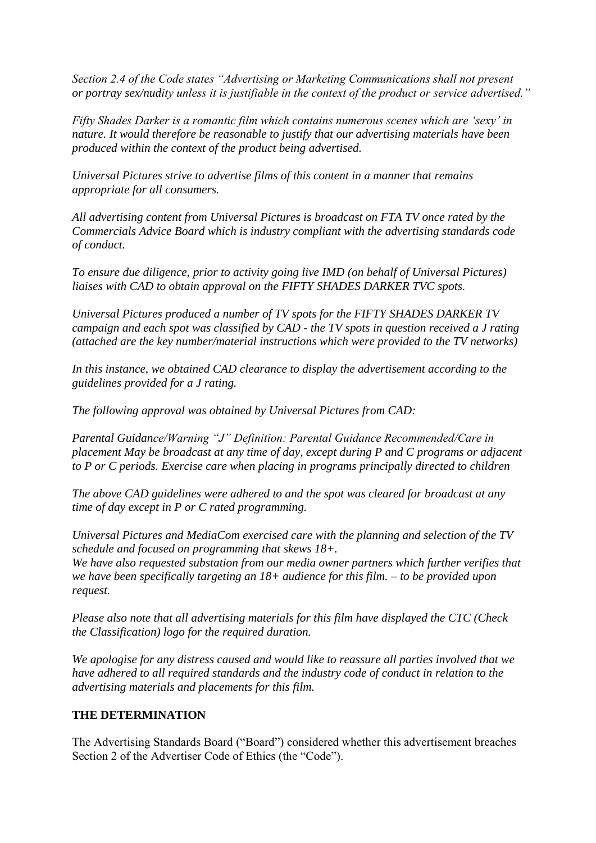*Section 2.4 of the Code states "Advertising or Marketing Communications shall not present or portray sex/nudity unless it is justifiable in the context of the product or service advertised."*

*Fifty Shades Darker is a romantic film which contains numerous scenes which are 'sexy' in nature. It would therefore be reasonable to justify that our advertising materials have been produced within the context of the product being advertised.*

*Universal Pictures strive to advertise films of this content in a manner that remains appropriate for all consumers.*

*All advertising content from Universal Pictures is broadcast on FTA TV once rated by the Commercials Advice Board which is industry compliant with the advertising standards code of conduct.*

*To ensure due diligence, prior to activity going live IMD (on behalf of Universal Pictures) liaises with CAD to obtain approval on the FIFTY SHADES DARKER TVC spots.*

*Universal Pictures produced a number of TV spots for the FIFTY SHADES DARKER TV campaign and each spot was classified by CAD - the TV spots in question received a J rating (attached are the key number/material instructions which were provided to the TV networks)*

*In this instance, we obtained CAD clearance to display the advertisement according to the guidelines provided for a J rating.*

*The following approval was obtained by Universal Pictures from CAD:*

*Parental Guidance/Warning "J" Definition: Parental Guidance Recommended/Care in placement May be broadcast at any time of day, except during P and C programs or adjacent to P or C periods. Exercise care when placing in programs principally directed to children*

*The above CAD guidelines were adhered to and the spot was cleared for broadcast at any time of day except in P or C rated programming.*

*Universal Pictures and MediaCom exercised care with the planning and selection of the TV schedule and focused on programming that skews 18+.*

*We have also requested substation from our media owner partners which further verifies that we have been specifically targeting an 18+ audience for this film. – to be provided upon request.*

*Please also note that all advertising materials for this film have displayed the CTC (Check the Classification) logo for the required duration.*

*We apologise for any distress caused and would like to reassure all parties involved that we have adhered to all required standards and the industry code of conduct in relation to the advertising materials and placements for this film.*

### **THE DETERMINATION**

The Advertising Standards Board ("Board") considered whether this advertisement breaches Section 2 of the Advertiser Code of Ethics (the "Code").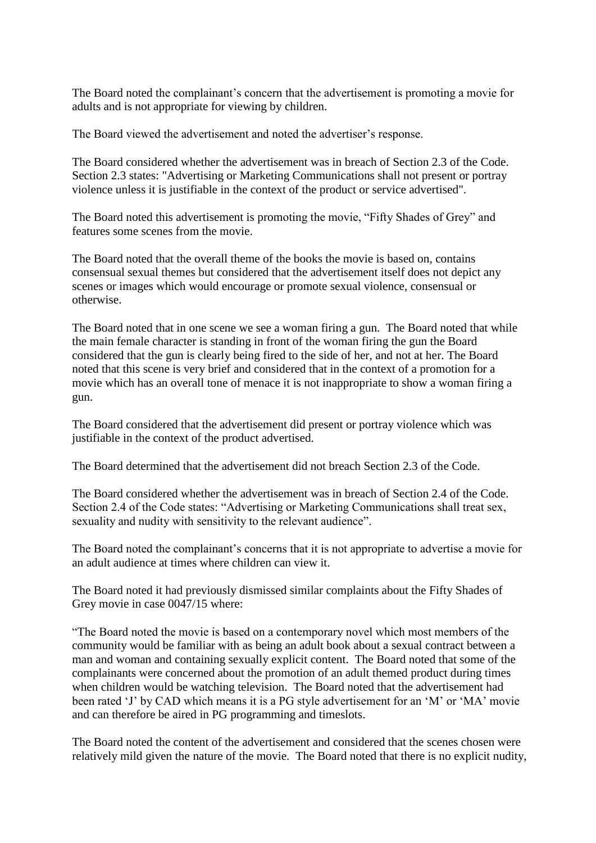The Board noted the complainant's concern that the advertisement is promoting a movie for adults and is not appropriate for viewing by children.

The Board viewed the advertisement and noted the advertiser's response.

The Board considered whether the advertisement was in breach of Section 2.3 of the Code. Section 2.3 states: "Advertising or Marketing Communications shall not present or portray violence unless it is justifiable in the context of the product or service advertised".

The Board noted this advertisement is promoting the movie, "Fifty Shades of Grey" and features some scenes from the movie.

The Board noted that the overall theme of the books the movie is based on, contains consensual sexual themes but considered that the advertisement itself does not depict any scenes or images which would encourage or promote sexual violence, consensual or otherwise.

The Board noted that in one scene we see a woman firing a gun. The Board noted that while the main female character is standing in front of the woman firing the gun the Board considered that the gun is clearly being fired to the side of her, and not at her. The Board noted that this scene is very brief and considered that in the context of a promotion for a movie which has an overall tone of menace it is not inappropriate to show a woman firing a gun.

The Board considered that the advertisement did present or portray violence which was justifiable in the context of the product advertised.

The Board determined that the advertisement did not breach Section 2.3 of the Code.

The Board considered whether the advertisement was in breach of Section 2.4 of the Code. Section 2.4 of the Code states: "Advertising or Marketing Communications shall treat sex, sexuality and nudity with sensitivity to the relevant audience".

The Board noted the complainant's concerns that it is not appropriate to advertise a movie for an adult audience at times where children can view it.

The Board noted it had previously dismissed similar complaints about the Fifty Shades of Grey movie in case 0047/15 where:

"The Board noted the movie is based on a contemporary novel which most members of the community would be familiar with as being an adult book about a sexual contract between a man and woman and containing sexually explicit content. The Board noted that some of the complainants were concerned about the promotion of an adult themed product during times when children would be watching television. The Board noted that the advertisement had been rated 'J' by CAD which means it is a PG style advertisement for an 'M' or 'MA' movie and can therefore be aired in PG programming and timeslots.

The Board noted the content of the advertisement and considered that the scenes chosen were relatively mild given the nature of the movie. The Board noted that there is no explicit nudity,